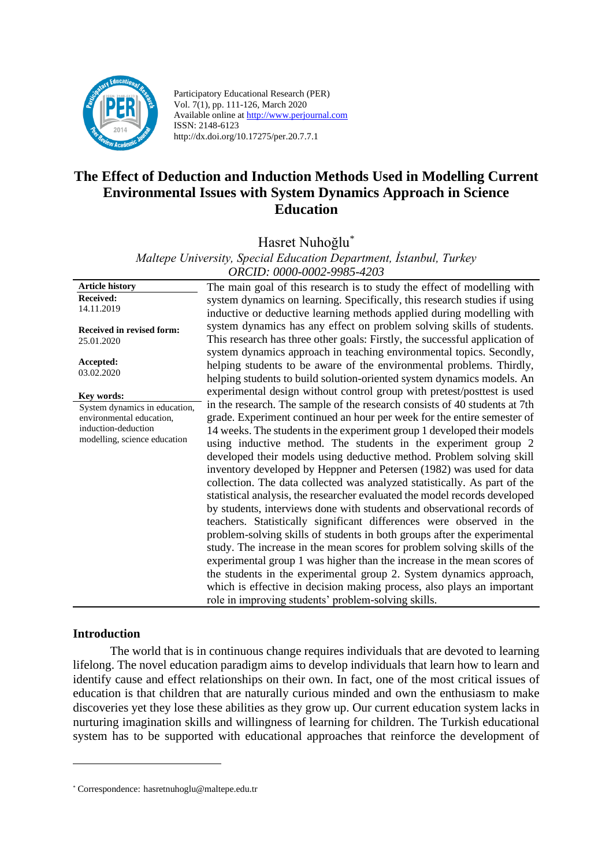

Participatory Educational Research (PER) Vol. 7(1), pp. 111-126, March 2020 Available online at http://www.perjournal.com ISSN: 2148-6123 http://dx.doi.org/10.17275/per.20.7.7.1

# **The Effect of Deduction and Induction Methods Used in Modelling Current Environmental Issues with System Dynamics Approach in Science Education**

Hasret Nuhoğlu\*

*Maltepe University, Special Education Department, İstanbul, Turkey ORCID: 0000-0002-9985-4203*

**Article history Received:**  14.11.2019 **Received in revised form:**  25.01.2020 **Accepted:** 03.02.2020 The main goal of this research is to study the effect of modelling with system dynamics on learning. Specifically, this research studies if using inductive or deductive learning methods applied during modelling with system dynamics has any effect on problem solving skills of students. This research has three other goals: Firstly, the successful application of system dynamics approach in teaching environmental topics. Secondly, helping students to be aware of the environmental problems. Thirdly, helping students to build solution-oriented system dynamics models. An experimental design without control group with pretest/posttest is used in the research. The sample of the research consists of 40 students at 7th grade. Experiment continued an hour per week for the entire semester of 14 weeks. The students in the experiment group 1 developed their models using inductive method. The students in the experiment group 2 developed their models using deductive method. Problem solving skill inventory developed by Heppner and Petersen (1982) was used for data collection. The data collected was analyzed statistically. As part of the statistical analysis, the researcher evaluated the model records developed by students, interviews done with students and observational records of teachers. Statistically significant differences were observed in the problem-solving skills of students in both groups after the experimental study. The increase in the mean scores for problem solving skills of the experimental group 1 was higher than the increase in the mean scores of the students in the experimental group 2. System dynamics approach, which is effective in decision making process, also plays an important role in improving students' problem-solving skills. **Key words:** System dynamics in education, environmental education, induction-deduction modelling, science education

# **Introduction**

The world that is in continuous change requires individuals that are devoted to learning lifelong. The novel education paradigm aims to develop individuals that learn how to learn and identify cause and effect relationships on their own. In fact, one of the most critical issues of education is that children that are naturally curious minded and own the enthusiasm to make discoveries yet they lose these abilities as they grow up. Our current education system lacks in nurturing imagination skills and willingness of learning for children. The Turkish educational system has to be supported with educational approaches that reinforce the development of

<sup>\*</sup> Correspondence: [hasretnuhoglu@maltepe.edu.tr](mailto:hasretnuhoglu@maltepe.edu.tr)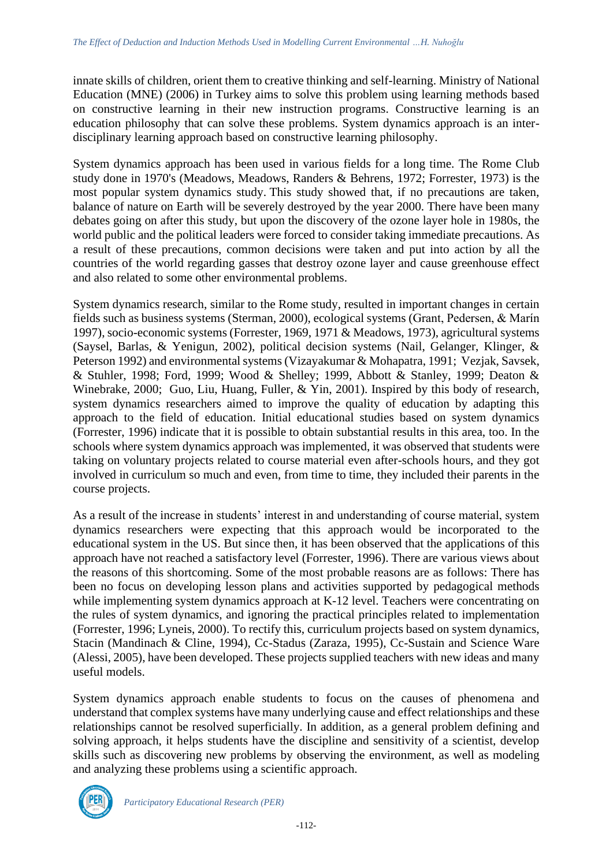innate skills of children, orient them to creative thinking and self-learning. Ministry of National Education (MNE) (2006) in Turkey aims to solve this problem using learning methods based on constructive learning in their new instruction programs. Constructive learning is an education philosophy that can solve these problems. System dynamics approach is an interdisciplinary learning approach based on constructive learning philosophy.

System dynamics approach has been used in various fields for a long time. The Rome Club study done in 1970's (Meadows, Meadows, Randers & Behrens, 1972; Forrester, 1973) is the most popular system dynamics study. This study showed that, if no precautions are taken, balance of nature on Earth will be severely destroyed by the year 2000. There have been many debates going on after this study, but upon the discovery of the ozone layer hole in 1980s, the world public and the political leaders were forced to consider taking immediate precautions. As a result of these precautions, common decisions were taken and put into action by all the countries of the world regarding gasses that destroy ozone layer and cause greenhouse effect and also related to some other environmental problems.

System dynamics research, similar to the Rome study, resulted in important changes in certain fields such as business systems [\(Sterman, 2000\)](http://www.sciencedirect.com/science?_ob=ArticleURL&_udi=B6VFR-4F53N41-3&_coverDate=12%2F31%2F2005&_alid=312623292&_rdoc=1&_fmt=&_orig=search&_qd=1&_cdi=6017&_sort=d&view=c&_acct=C000038638&_version=1&_urlVersion=0&_userid=691231&md5=9f687bd68537f812a35e2c6619eee3b4#bib32#bib32), ecological systems [\(Grant, Pedersen, & Marín](http://www.sciencedirect.com/science?_ob=ArticleURL&_udi=B6VFR-4F53N41-3&_coverDate=12%2F31%2F2005&_alid=312623292&_rdoc=1&_fmt=&_orig=search&_qd=1&_cdi=6017&_sort=d&view=c&_acct=C000038638&_version=1&_urlVersion=0&_userid=691231&md5=9f687bd68537f812a35e2c6619eee3b4#bib17#bib17)  [1997\)](http://www.sciencedirect.com/science?_ob=ArticleURL&_udi=B6VFR-4F53N41-3&_coverDate=12%2F31%2F2005&_alid=312623292&_rdoc=1&_fmt=&_orig=search&_qd=1&_cdi=6017&_sort=d&view=c&_acct=C000038638&_version=1&_urlVersion=0&_userid=691231&md5=9f687bd68537f812a35e2c6619eee3b4#bib17#bib17), socio-economic systems [\(Forrester, 1969,](http://www.sciencedirect.com/science?_ob=ArticleURL&_udi=B6VFR-4F53N41-3&_coverDate=12%2F31%2F2005&_alid=312623292&_rdoc=1&_fmt=&_orig=search&_qd=1&_cdi=6017&_sort=d&view=c&_acct=C000038638&_version=1&_urlVersion=0&_userid=691231&md5=9f687bd68537f812a35e2c6619eee3b4#bib12#bib12) [1971](http://www.sciencedirect.com/science?_ob=ArticleURL&_udi=B6VFR-4F53N41-3&_coverDate=12%2F31%2F2005&_alid=312623292&_rdoc=1&_fmt=&_orig=search&_qd=1&_cdi=6017&_sort=d&view=c&_acct=C000038638&_version=1&_urlVersion=0&_userid=691231&md5=9f687bd68537f812a35e2c6619eee3b4#bib13#bib13) & [Meadows, 1973\)](http://www.sciencedirect.com/science?_ob=ArticleURL&_udi=B6VFR-4F53N41-3&_coverDate=12%2F31%2F2005&_alid=312623292&_rdoc=1&_fmt=&_orig=search&_qd=1&_cdi=6017&_sort=d&view=c&_acct=C000038638&_version=1&_urlVersion=0&_userid=691231&md5=9f687bd68537f812a35e2c6619eee3b4#bib20#bib20), agricultural systems [\(Saysel, Barlas, & Yenigun, 2002\)](http://www.sciencedirect.com/science?_ob=ArticleURL&_udi=B6VFR-4F53N41-3&_coverDate=12%2F31%2F2005&_alid=312623292&_rdoc=1&_fmt=&_orig=search&_qd=1&_cdi=6017&_sort=d&view=c&_acct=C000038638&_version=1&_urlVersion=0&_userid=691231&md5=9f687bd68537f812a35e2c6619eee3b4#bib33#bib33), political decision systems [\(Nail, Gelanger, Klinger, &](http://www.sciencedirect.com/science?_ob=ArticleURL&_udi=B6VFR-4F53N41-3&_coverDate=12%2F31%2F2005&_alid=312623292&_rdoc=1&_fmt=&_orig=search&_qd=1&_cdi=6017&_sort=d&view=c&_acct=C000038638&_version=1&_urlVersion=0&_userid=691231&md5=9f687bd68537f812a35e2c6619eee3b4#bbib24#bbib24)  [Peterson 1992\)](http://www.sciencedirect.com/science?_ob=ArticleURL&_udi=B6VFR-4F53N41-3&_coverDate=12%2F31%2F2005&_alid=312623292&_rdoc=1&_fmt=&_orig=search&_qd=1&_cdi=6017&_sort=d&view=c&_acct=C000038638&_version=1&_urlVersion=0&_userid=691231&md5=9f687bd68537f812a35e2c6619eee3b4#bbib24#bbib24) and environmental systems [\(Vizayakumar & Mohapatra, 1991;](http://www.sciencedirect.com/science?_ob=ArticleURL&_udi=B6VFR-4F53N41-3&_coverDate=12%2F31%2F2005&_alid=312623292&_rdoc=1&_fmt=&_orig=search&_qd=1&_cdi=6017&_sort=d&view=c&_acct=C000038638&_version=1&_urlVersion=0&_userid=691231&md5=9f687bd68537f812a35e2c6619eee3b4#bib35#bib35) [Vezjak, Savsek,](http://www.sciencedirect.com/science?_ob=ArticleURL&_udi=B6VFR-4F53N41-3&_coverDate=12%2F31%2F2005&_alid=312623292&_rdoc=1&_fmt=&_orig=search&_qd=1&_cdi=6017&_sort=d&view=c&_acct=C000038638&_version=1&_urlVersion=0&_userid=691231&md5=9f687bd68537f812a35e2c6619eee3b4#bib38#bib38)  [& Stuhler, 1998;](http://www.sciencedirect.com/science?_ob=ArticleURL&_udi=B6VFR-4F53N41-3&_coverDate=12%2F31%2F2005&_alid=312623292&_rdoc=1&_fmt=&_orig=search&_qd=1&_cdi=6017&_sort=d&view=c&_acct=C000038638&_version=1&_urlVersion=0&_userid=691231&md5=9f687bd68537f812a35e2c6619eee3b4#bib38#bib38) [Ford, 1999;](http://www.sciencedirect.com/science?_ob=ArticleURL&_udi=B6VFR-4F53N41-3&_coverDate=12%2F31%2F2005&_alid=312623292&_rdoc=1&_fmt=&_orig=search&_qd=1&_cdi=6017&_sort=d&view=c&_acct=C000038638&_version=1&_urlVersion=0&_userid=691231&md5=9f687bd68537f812a35e2c6619eee3b4#bib14#bib14) [Wood & Shelley; 1999,](http://www.sciencedirect.com/science?_ob=ArticleURL&_udi=B6VFR-4F53N41-3&_coverDate=12%2F31%2F2005&_alid=312623292&_rdoc=1&_fmt=&_orig=search&_qd=1&_cdi=6017&_sort=d&view=c&_acct=C000038638&_version=1&_urlVersion=0&_userid=691231&md5=9f687bd68537f812a35e2c6619eee3b4#bib39#bib39) [Abbott & Stanley, 1999;](http://www.sciencedirect.com/science?_ob=ArticleURL&_udi=B6VFR-4F53N41-3&_coverDate=12%2F31%2F2005&_alid=312623292&_rdoc=1&_fmt=&_orig=search&_qd=1&_cdi=6017&_sort=d&view=c&_acct=C000038638&_version=1&_urlVersion=0&_userid=691231&md5=9f687bd68537f812a35e2c6619eee3b4#bib1#bib1) [Deaton &](http://www.sciencedirect.com/science?_ob=ArticleURL&_udi=B6VFR-4F53N41-3&_coverDate=12%2F31%2F2005&_alid=312623292&_rdoc=1&_fmt=&_orig=search&_qd=1&_cdi=6017&_sort=d&view=c&_acct=C000038638&_version=1&_urlVersion=0&_userid=691231&md5=9f687bd68537f812a35e2c6619eee3b4#bib8#bib8)  [Winebrake, 2000;](http://www.sciencedirect.com/science?_ob=ArticleURL&_udi=B6VFR-4F53N41-3&_coverDate=12%2F31%2F2005&_alid=312623292&_rdoc=1&_fmt=&_orig=search&_qd=1&_cdi=6017&_sort=d&view=c&_acct=C000038638&_version=1&_urlVersion=0&_userid=691231&md5=9f687bd68537f812a35e2c6619eee3b4#bib8#bib8) [Guo, Liu, Huang, Fuller, & Yin, 2001\)](http://www.sciencedirect.com/science?_ob=ArticleURL&_udi=B6VFR-4F53N41-3&_coverDate=12%2F31%2F2005&_alid=312623292&_rdoc=1&_fmt=&_orig=search&_qd=1&_cdi=6017&_sort=d&view=c&_acct=C000038638&_version=1&_urlVersion=0&_userid=691231&md5=9f687bd68537f812a35e2c6619eee3b4#bib16#bib16). Inspired by this body of research, system dynamics researchers aimed to improve the quality of education by adapting this approach to the field of education. Initial educational studies based on system dynamics (Forrester, 1996) indicate that it is possible to obtain substantial results in this area, too. In the schools where system dynamics approach was implemented, it was observed that students were taking on voluntary projects related to course material even after-schools hours, and they got involved in curriculum so much and even, from time to time, they included their parents in the course projects.

As a result of the increase in students' interest in and understanding of course material, system dynamics researchers were expecting that this approach would be incorporated to the educational system in the US. But since then, it has been observed that the applications of this approach have not reached a satisfactory level (Forrester, 1996). There are various views about the reasons of this shortcoming. Some of the most probable reasons are as follows: There has been no focus on developing lesson plans and activities supported by pedagogical methods while implementing system dynamics approach at K-12 level. Teachers were concentrating on the rules of system dynamics, and ignoring the practical principles related to implementation (Forrester, 1996; Lyneis, 2000). To rectify this, curriculum projects based on system dynamics, Stacin (Mandinach & Cline, 1994), Cc-Stadus (Zaraza, 1995), Cc-Sustain and Science Ware (Alessi, 2005), have been developed. These projects supplied teachers with new ideas and many useful models.

System dynamics approach enable students to focus on the causes of phenomena and understand that complex systems have many underlying cause and effect relationships and these relationships cannot be resolved superficially. In addition, as a general problem defining and solving approach, it helps students have the discipline and sensitivity of a scientist, develop skills such as discovering new problems by observing the environment, as well as modeling and analyzing these problems using a scientific approach.

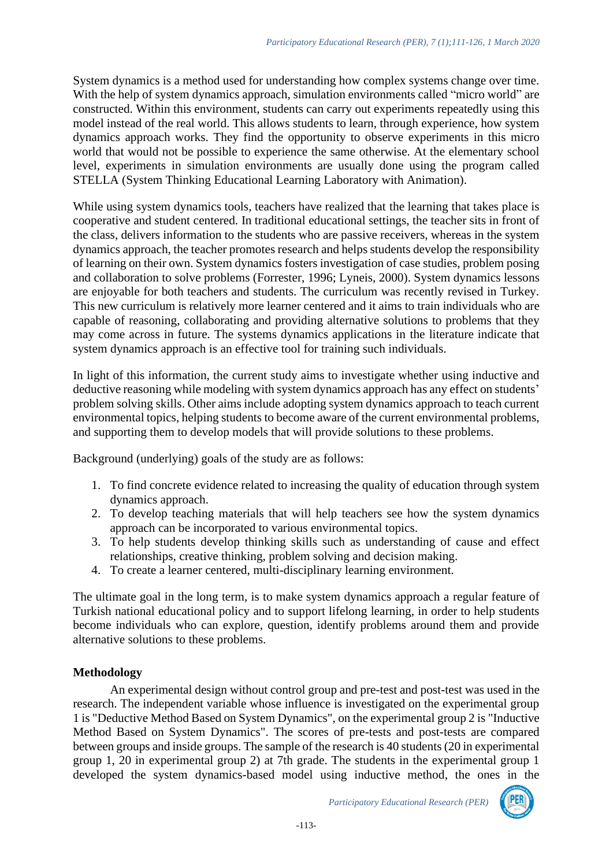System dynamics is a method used for understanding how complex systems change over time. With the help of system dynamics approach, simulation environments called "micro world" are constructed. Within this environment, students can carry out experiments repeatedly using this model instead of the real world. This allows students to learn, through experience, how system dynamics approach works. They find the opportunity to observe experiments in this micro world that would not be possible to experience the same otherwise. At the elementary school level, experiments in simulation environments are usually done using the program called STELLA (System Thinking Educational Learning Laboratory with Animation).

While using system dynamics tools, teachers have realized that the learning that takes place is cooperative and student centered. In traditional educational settings, the teacher sits in front of the class, delivers information to the students who are passive receivers, whereas in the system dynamics approach, the teacher promotes research and helps students develop the responsibility of learning on their own. System dynamics fosters investigation of case studies, problem posing and collaboration to solve problems (Forrester, 1996; Lyneis, 2000). System dynamics lessons are enjoyable for both teachers and students. The curriculum was recently revised in Turkey. This new curriculum is relatively more learner centered and it aims to train individuals who are capable of reasoning, collaborating and providing alternative solutions to problems that they may come across in future. The systems dynamics applications in the literature indicate that system dynamics approach is an effective tool for training such individuals.

In light of this information, the current study aims to investigate whether using inductive and deductive reasoning while modeling with system dynamics approach has any effect on students' problem solving skills. Other aims include adopting system dynamics approach to teach current environmental topics, helping students to become aware of the current environmental problems, and supporting them to develop models that will provide solutions to these problems.

Background (underlying) goals of the study are as follows:

- 1. To find concrete evidence related to increasing the quality of education through system dynamics approach.
- 2. To develop teaching materials that will help teachers see how the system dynamics approach can be incorporated to various environmental topics.
- 3. To help students develop thinking skills such as understanding of cause and effect relationships, creative thinking, problem solving and decision making.
- 4. To create a learner centered, multi-disciplinary learning environment.

The ultimate goal in the long term, is to make system dynamics approach a regular feature of Turkish national educational policy and to support lifelong learning, in order to help students become individuals who can explore, question, identify problems around them and provide alternative solutions to these problems.

### **Methodology**

An experimental design without control group and pre-test and post-test was used in the research. The independent variable whose influence is investigated on the experimental group 1 is "Deductive Method Based on System Dynamics", on the experimental group 2 is "Inductive Method Based on System Dynamics". The scores of pre-tests and post-tests are compared between groups and inside groups. The sample of the research is 40 students (20 in experimental group 1, 20 in experimental group 2) at 7th grade. The students in the experimental group 1 developed the system dynamics-based model using inductive method, the ones in the

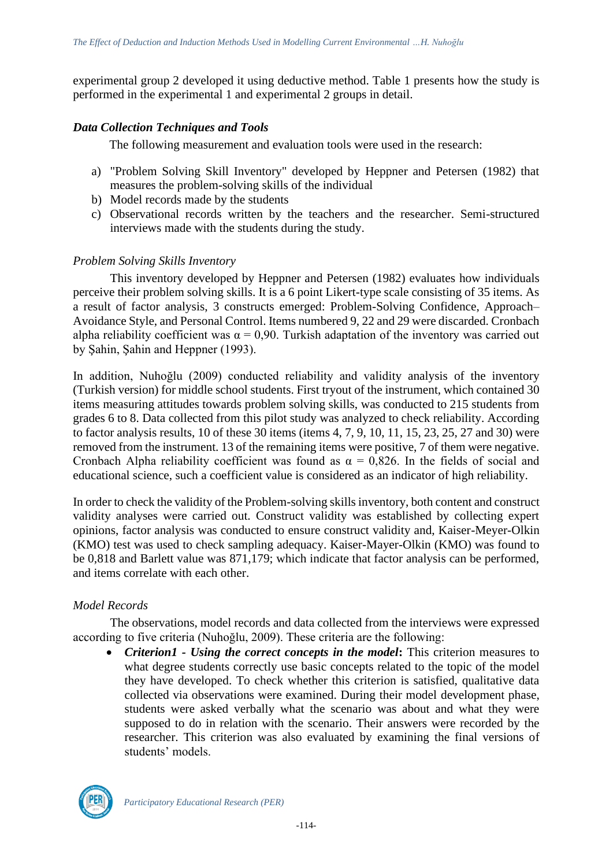experimental group 2 developed it using deductive method. Table 1 presents how the study is performed in the experimental 1 and experimental 2 groups in detail.

### *Data Collection Techniques and Tools*

The following measurement and evaluation tools were used in the research:

- a) "Problem Solving Skill Inventory" developed by Heppner and Petersen (1982) that measures the problem-solving skills of the individual
- b) Model records made by the students
- c) Observational records written by the teachers and the researcher. Semi-structured interviews made with the students during the study.

### *Problem Solving Skills Inventory*

This inventory developed by Heppner and Petersen (1982) evaluates how individuals perceive their problem solving skills. It is a 6 point Likert-type scale consisting of 35 items. As a result of factor analysis, 3 constructs emerged: Problem-Solving Confidence, Approach– Avoidance Style, and Personal Control. Items numbered 9, 22 and 29 were discarded. Cronbach alpha reliability coefficient was  $\alpha = 0.90$ . Turkish adaptation of the inventory was carried out by Şahin, Şahin and Heppner (1993).

In addition, Nuhoğlu (2009) conducted reliability and validity analysis of the inventory (Turkish version) for middle school students. First tryout of the instrument, which contained 30 items measuring attitudes towards problem solving skills, was conducted to 215 students from grades 6 to 8. Data collected from this pilot study was analyzed to check reliability. According to factor analysis results, 10 of these 30 items (items 4, 7, 9, 10, 11, 15, 23, 25, 27 and 30) were removed from the instrument. 13 of the remaining items were positive, 7 of them were negative. Cronbach Alpha reliability coefficient was found as  $\alpha = 0.826$ . In the fields of social and educational science, such a coefficient value is considered as an indicator of high reliability.

In order to check the validity of the Problem-solving skills inventory, both content and construct validity analyses were carried out. Construct validity was established by collecting expert opinions, factor analysis was conducted to ensure construct validity and, Kaiser-Meyer-Olkin (KMO) test was used to check sampling adequacy. Kaiser-Mayer-Olkin (KMO) was found to be 0,818 and Barlett value was 871,179; which indicate that factor analysis can be performed, and items correlate with each other.

# *Model Records*

The observations, model records and data collected from the interviews were expressed according to five criteria (Nuhoğlu, 2009). These criteria are the following:

• *Criterion1 - Using the correct concepts in the model***:** This criterion measures to what degree students correctly use basic concepts related to the topic of the model they have developed. To check whether this criterion is satisfied, qualitative data collected via observations were examined. During their model development phase, students were asked verbally what the scenario was about and what they were supposed to do in relation with the scenario. Their answers were recorded by the researcher. This criterion was also evaluated by examining the final versions of students' models.

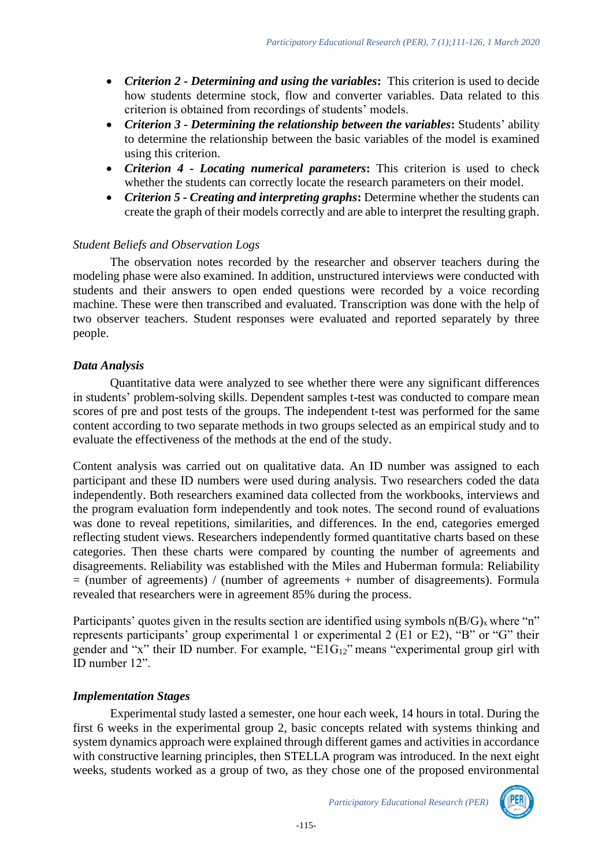- *Criterion 2 - Determining and using the variables***:** This criterion is used to decide how students determine stock, flow and converter variables. Data related to this criterion is obtained from recordings of students' models.
- *Criterion 3 - Determining the relationship between the variables***:** Students' ability to determine the relationship between the basic variables of the model is examined using this criterion.
- *Criterion 4 - Locating numerical parameters***:** This criterion is used to check whether the students can correctly locate the research parameters on their model.
- *Criterion 5 - Creating and interpreting graphs***:** Determine whether the students can create the graph of their models correctly and are able to interpret the resulting graph.

### *Student Beliefs and Observation Logs*

The observation notes recorded by the researcher and observer teachers during the modeling phase were also examined. In addition, unstructured interviews were conducted with students and their answers to open ended questions were recorded by a voice recording machine. These were then transcribed and evaluated. Transcription was done with the help of two observer teachers. Student responses were evaluated and reported separately by three people.

### *Data Analysis*

Quantitative data were analyzed to see whether there were any significant differences in students' problem-solving skills. Dependent samples t-test was conducted to compare mean scores of pre and post tests of the groups. The independent t-test was performed for the same content according to two separate methods in two groups selected as an empirical study and to evaluate the effectiveness of the methods at the end of the study.

Content analysis was carried out on qualitative data. An ID number was assigned to each participant and these ID numbers were used during analysis. Two researchers coded the data independently. Both researchers examined data collected from the workbooks, interviews and the program evaluation form independently and took notes. The second round of evaluations was done to reveal repetitions, similarities, and differences. In the end, categories emerged reflecting student views. Researchers independently formed quantitative charts based on these categories. Then these charts were compared by counting the number of agreements and disagreements. Reliability was established with the Miles and Huberman formula: Reliability = (number of agreements) / (number of agreements + number of disagreements). Formula revealed that researchers were in agreement 85% during the process.

Participants' quotes given in the results section are identified using symbols  $n(B/G)_x$  where "n" represents participants' group experimental 1 or experimental 2 (E1 or E2), "B" or "G" their gender and "x" their ID number. For example, "E1G12" means "experimental group girl with ID number 12".

### *Implementation Stages*

Experimental study lasted a semester, one hour each week, 14 hours in total. During the first 6 weeks in the experimental group 2, basic concepts related with systems thinking and system dynamics approach were explained through different games and activities in accordance with constructive learning principles, then STELLA program was introduced. In the next eight weeks, students worked as a group of two, as they chose one of the proposed environmental



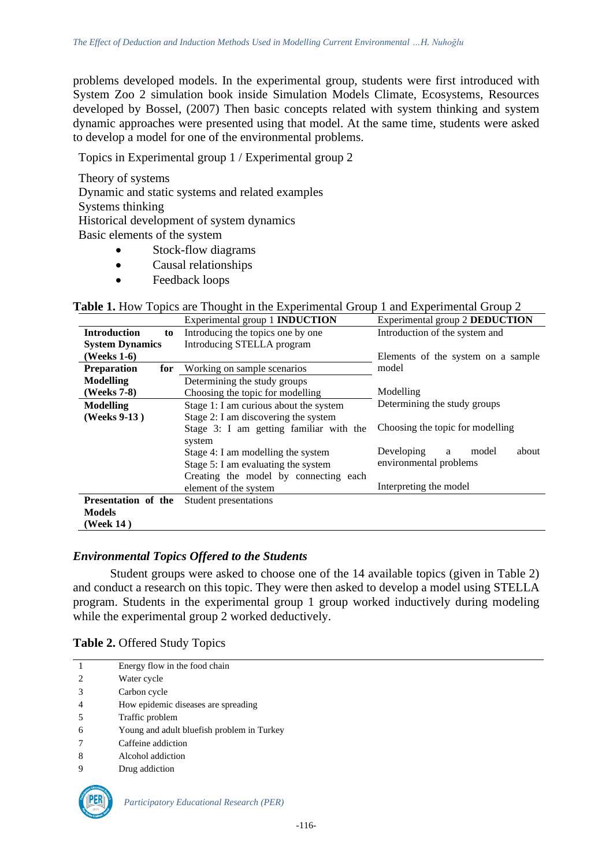problems developed models. In the experimental group, students were first introduced with System Zoo 2 simulation book inside Simulation Models Climate, Ecosystems, Resources developed by Bossel, (2007) Then basic concepts related with system thinking and system dynamic approaches were presented using that model. At the same time, students were asked to develop a model for one of the environmental problems.

Topics in Experimental group 1 / Experimental group 2

Theory of systems Dynamic and static systems and related examples Systems thinking Historical development of system dynamics Basic elements of the system

- Stock-flow diagrams
- Causal relationships
- Feedback loops

|                           | Experimental group 1 <b>INDUCTION</b>   | Experimental group 2 DEDUCTION     |  |  |
|---------------------------|-----------------------------------------|------------------------------------|--|--|
| <b>Introduction</b><br>to | Introducing the topics one by one       | Introduction of the system and     |  |  |
| <b>System Dynamics</b>    | Introducing STELLA program              |                                    |  |  |
| (Weeks 1-6)               |                                         | Elements of the system on a sample |  |  |
| <b>Preparation</b><br>for | Working on sample scenarios             | model                              |  |  |
| <b>Modelling</b>          | Determining the study groups            |                                    |  |  |
| (Weeks 7-8)               | Choosing the topic for modelling        | Modelling                          |  |  |
| <b>Modelling</b>          | Stage 1: I am curious about the system  | Determining the study groups       |  |  |
| (Weeks 9-13)              | Stage 2: I am discovering the system    |                                    |  |  |
|                           | Stage 3: I am getting familiar with the | Choosing the topic for modelling   |  |  |
|                           | system                                  |                                    |  |  |
|                           | Stage 4: I am modelling the system      | Developing<br>model<br>about<br>a  |  |  |
|                           | Stage 5: I am evaluating the system     | environmental problems             |  |  |
|                           | Creating the model by connecting each   |                                    |  |  |
|                           | element of the system                   | Interpreting the model             |  |  |
| Presentation of the       | Student presentations                   |                                    |  |  |
| <b>Models</b>             |                                         |                                    |  |  |
| (Week 14)                 |                                         |                                    |  |  |

**Table 1.** How Topics are Thought in the Experimental Group 1 and Experimental Group 2

### *Environmental Topics Offered to the Students*

Student groups were asked to choose one of the 14 available topics (given in Table 2) and conduct a research on this topic. They were then asked to develop a model using STELLA program. Students in the experimental group 1 group worked inductively during modeling while the experimental group 2 worked deductively.

| Table 2. Offered Study Topics |  |
|-------------------------------|--|
|-------------------------------|--|

|               | Energy flow in the food chain              |
|---------------|--------------------------------------------|
| $\mathcal{L}$ | Water cycle                                |
| 3             | Carbon cycle                               |
|               | How epidemic diseases are spreading        |
| 5             | Traffic problem                            |
| 6             | Young and adult bluefish problem in Turkey |
|               | Caffeine addiction                         |
| 8             | Alcohol addiction                          |
|               | Drug addiction                             |

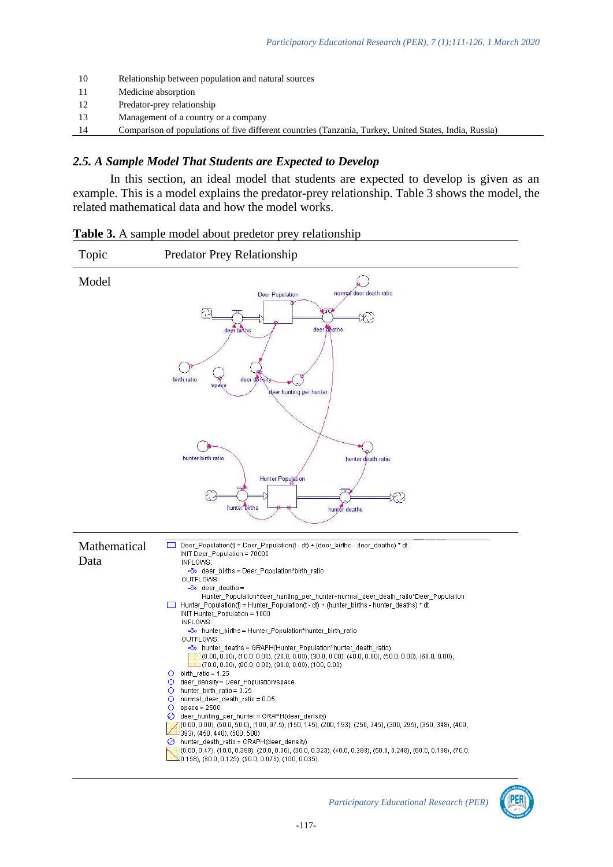| -10 | Relationship between population and natural sources                                                    |
|-----|--------------------------------------------------------------------------------------------------------|
| -11 | Medicine absorption                                                                                    |
| -12 | Predator-prey relationship                                                                             |
| -13 | Management of a country or a company                                                                   |
| 14  | Comparison of populations of five different countries (Tanzania, Turkey, United States, India, Russia) |

#### *2.5. A Sample Model That Students are Expected to Develop*

In this section, an ideal model that students are expected to develop is given as an example. This is a model explains the predator-prey relationship. Table 3 shows the model, the related mathematical data and how the model works.

|                    | <b>Table 3.</b> A sample model about predetor prey relationship |  |  |
|--------------------|-----------------------------------------------------------------|--|--|
| $T_{\alpha\alpha}$ | Dradator Draw Dalationahin                                      |  |  |

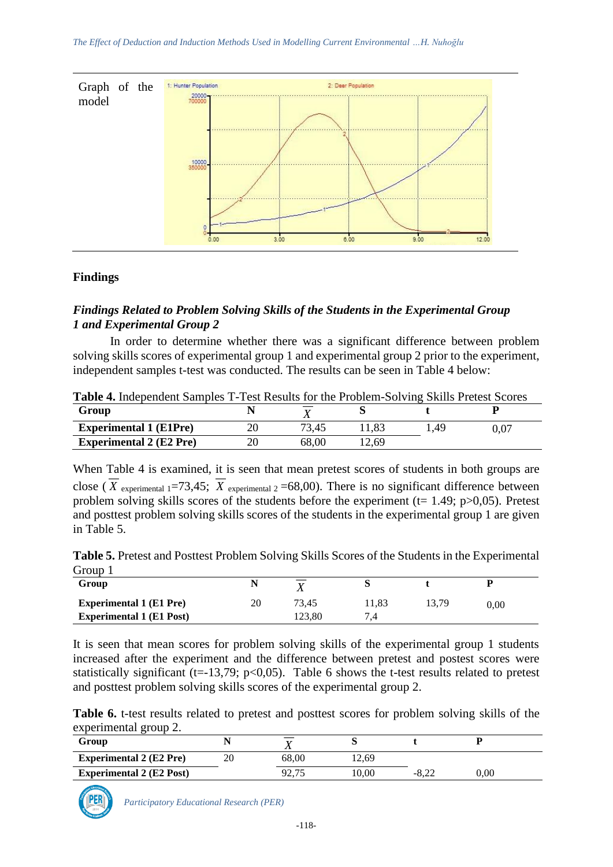

# **Findings**

# *Findings Related to Problem Solving Skills of the Students in the Experimental Group 1 and Experimental Group 2*

In order to determine whether there was a significant difference between problem solving skills scores of experimental group 1 and experimental group 2 prior to the experiment, independent samples t-test was conducted. The results can be seen in Table 4 below:

| <b>Table 4.</b> Independent Samples T-Test Results for the Problem-Solving Skills Pretest Scores |  |       |      |      |      |  |
|--------------------------------------------------------------------------------------------------|--|-------|------|------|------|--|
| Group                                                                                            |  |       |      |      |      |  |
| <b>Experimental 1 (E1Pre)</b>                                                                    |  | 73.45 | 1.83 | 1.49 | 0.07 |  |
| <b>Experimental 2 (E2 Pre)</b>                                                                   |  | 68.00 | 2.69 |      |      |  |

When Table 4 is examined, it is seen that mean pretest scores of students in both groups are close (*X* experimental 1=73,45; *X* experimental 2=68,00). There is no significant difference between problem solving skills scores of the students before the experiment ( $t= 1.49$ ;  $p > 0.05$ ). Pretest and posttest problem solving skills scores of the students in the experimental group 1 are given in Table 5.

**Table 5.** Pretest and Posttest Problem Solving Skills Scores of the Students in the Experimental Group 1

| OIVUD 1                         |    |       |       |       |          |  |
|---------------------------------|----|-------|-------|-------|----------|--|
| Group                           |    |       |       |       |          |  |
| <b>Experimental 1 (E1 Pre)</b>  | 20 | 73.45 | 11,83 | 13,79 | $0.00\,$ |  |
| <b>Experimental 1 (E1 Post)</b> |    | 23.80 |       |       |          |  |

It is seen that mean scores for problem solving skills of the experimental group 1 students increased after the experiment and the difference between pretest and postest scores were statistically significant (t=-13,79; p<0,05). Table 6 shows the t-test results related to pretest and posttest problem solving skills scores of the experimental group 2.

**Table 6.** t-test results related to pretest and posttest scores for problem solving skills of the experimental group 2.

| Group                           |    | ∡⊾    |       |         |          |  |
|---------------------------------|----|-------|-------|---------|----------|--|
| <b>Experimental 2 (E2 Pre)</b>  | 20 | 68.00 | 12.69 |         |          |  |
| <b>Experimental 2 (E2 Post)</b> |    | 92.7  | 0.00  | $-8.22$ | $0.00\,$ |  |

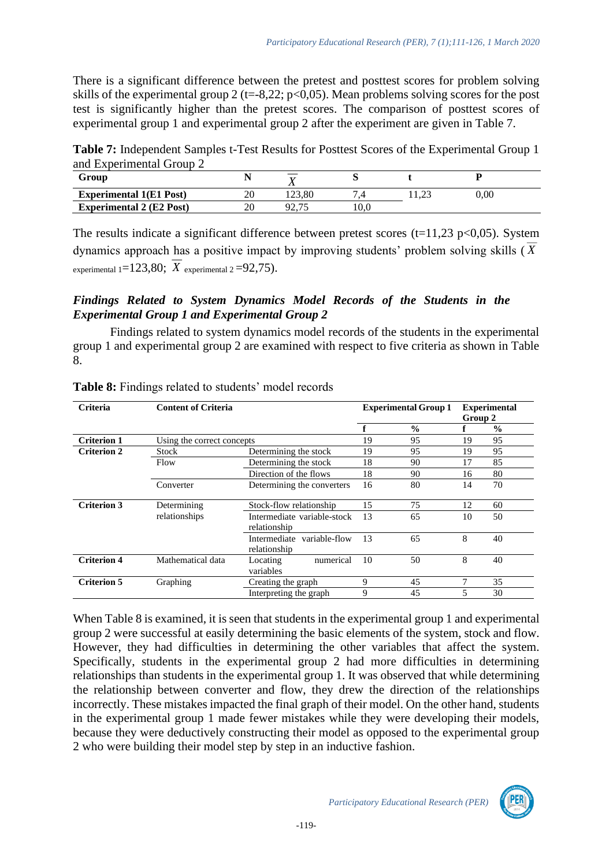There is a significant difference between the pretest and posttest scores for problem solving skills of the experimental group 2 (t=-8,22; p<0,05). Mean problems solving scores for the post test is significantly higher than the pretest scores. The comparison of posttest scores of experimental group 1 and experimental group 2 after the experiment are given in Table 7.

**Table 7:** Independent Samples t-Test Results for Posttest Scores of the Experimental Group 1 and Experimental Group 2

| Group                           |    |         |      |          |
|---------------------------------|----|---------|------|----------|
| <b>Experimental 1(E1 Post)</b>  | 20 | 123.80  |      | $0.00\,$ |
| <b>Experimental 2 (E2 Post)</b> | 20 | بدا و ۱ | 10.0 |          |

The results indicate a significant difference between pretest scores ( $t=11,23$  p $<0,05$ ). System dynamics approach has a positive impact by improving students' problem solving skills ( *X* experimental  $1 = 123,80$ ;  $X$  experimental  $2 = 92,75$ ).

# *Findings Related to System Dynamics Model Records of the Students in the Experimental Group 1 and Experimental Group 2*

Findings related to system dynamics model records of the students in the experimental group 1 and experimental group 2 are examined with respect to five criteria as shown in Table 8.

| Criteria           | <b>Content of Criteria</b> |                                             |    |               | <b>Experimental</b> |               |
|--------------------|----------------------------|---------------------------------------------|----|---------------|---------------------|---------------|
|                    |                            |                                             |    |               | Group 2             |               |
|                    |                            |                                             |    | $\frac{0}{0}$ |                     | $\frac{0}{0}$ |
| <b>Criterion 1</b> | Using the correct concepts |                                             | 19 | 95            | 19                  | 95            |
| <b>Criterion 2</b> | Stock                      | Determining the stock                       | 19 | 95            | 19                  | 95            |
|                    | Flow                       | Determining the stock                       | 18 | 90            | 17                  | 85            |
|                    |                            | Direction of the flows                      | 18 | 90            | 16                  | 80            |
|                    | Converter                  | Determining the converters                  | 16 | 80            | 14                  | 70            |
| <b>Criterion 3</b> | Determining                | Stock-flow relationship                     | 15 | 75            | 12                  | 60            |
|                    | relationships              | Intermediate variable-stock<br>relationship | 13 | 65            | 10                  | 50            |
|                    |                            | Intermediate variable-flow<br>relationship  | 13 | 65            | 8                   | 40            |
| <b>Criterion 4</b> | Mathematical data          | numerical<br>Locating<br>variables          | 10 | 50            | 8                   | 40            |
| <b>Criterion 5</b> | Graphing                   | Creating the graph                          | 9  | 45            | 7                   | 35            |
|                    |                            | Interpreting the graph                      | 9  | 45            | 5                   | 30            |

**Table 8:** Findings related to students' model records

When Table 8 is examined, it is seen that students in the experimental group 1 and experimental group 2 were successful at easily determining the basic elements of the system, stock and flow. However, they had difficulties in determining the other variables that affect the system. Specifically, students in the experimental group 2 had more difficulties in determining relationships than students in the experimental group 1. It was observed that while determining the relationship between converter and flow, they drew the direction of the relationships incorrectly. These mistakes impacted the final graph of their model. On the other hand, students in the experimental group 1 made fewer mistakes while they were developing their models, because they were deductively constructing their model as opposed to the experimental group 2 who were building their model step by step in an inductive fashion.

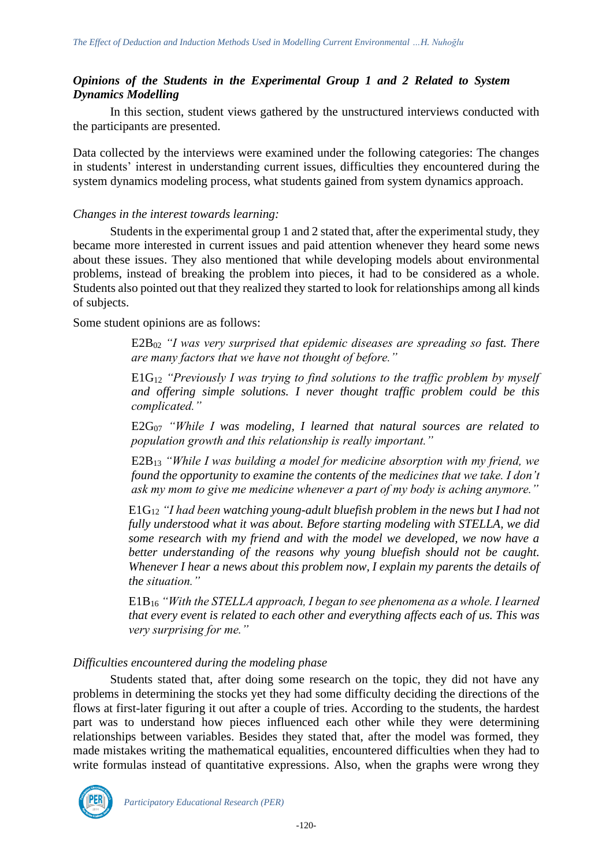# *Opinions of the Students in the Experimental Group 1 and 2 Related to System Dynamics Modelling*

In this section, student views gathered by the unstructured interviews conducted with the participants are presented.

Data collected by the interviews were examined under the following categories: The changes in students' interest in understanding current issues, difficulties they encountered during the system dynamics modeling process, what students gained from system dynamics approach.

### *Changes in the interest towards learning:*

Students in the experimental group 1 and 2 stated that, after the experimental study, they became more interested in current issues and paid attention whenever they heard some news about these issues. They also mentioned that while developing models about environmental problems, instead of breaking the problem into pieces, it had to be considered as a whole. Students also pointed out that they realized they started to look for relationships among all kinds of subjects.

Some student opinions are as follows:

E2B<sup>02</sup> *"I was very surprised that epidemic diseases are spreading so fast. There are many factors that we have not thought of before."*

E1G<sup>12</sup> *"Previously I was trying to find solutions to the traffic problem by myself and offering simple solutions. I never thought traffic problem could be this complicated."* 

E2G<sup>07</sup> *"While I was modeling, I learned that natural sources are related to population growth and this relationship is really important."* 

E2B<sup>13</sup> *"While I was building a model for medicine absorption with my friend, we found the opportunity to examine the contents of the medicines that we take. I don't ask my mom to give me medicine whenever a part of my body is aching anymore."* 

E1G<sup>12</sup> *"I had been watching young-adult bluefish problem in the news but I had not fully understood what it was about. Before starting modeling with STELLA, we did some research with my friend and with the model we developed, we now have a better understanding of the reasons why young bluefish should not be caught. Whenever I hear a news about this problem now, I explain my parents the details of the situation."* 

E1B<sup>16</sup> *"With the STELLA approach, I began to see phenomena as a whole. I learned that every event is related to each other and everything affects each of us. This was very surprising for me."* 

# *Difficulties encountered during the modeling phase*

Students stated that, after doing some research on the topic, they did not have any problems in determining the stocks yet they had some difficulty deciding the directions of the flows at first-later figuring it out after a couple of tries. According to the students, the hardest part was to understand how pieces influenced each other while they were determining relationships between variables. Besides they stated that, after the model was formed, they made mistakes writing the mathematical equalities, encountered difficulties when they had to write formulas instead of quantitative expressions. Also, when the graphs were wrong they

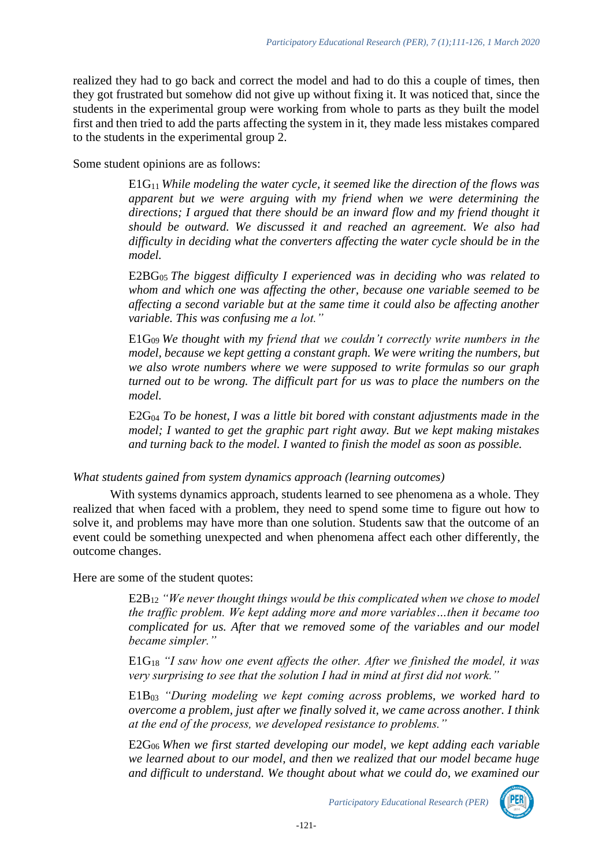realized they had to go back and correct the model and had to do this a couple of times, then they got frustrated but somehow did not give up without fixing it. It was noticed that, since the students in the experimental group were working from whole to parts as they built the model first and then tried to add the parts affecting the system in it, they made less mistakes compared to the students in the experimental group 2.

Some student opinions are as follows:

E1G11 *While modeling the water cycle, it seemed like the direction of the flows was apparent but we were arguing with my friend when we were determining the directions; I argued that there should be an inward flow and my friend thought it should be outward. We discussed it and reached an agreement. We also had difficulty in deciding what the converters affecting the water cycle should be in the model.* 

E2BG05 *The biggest difficulty I experienced was in deciding who was related to whom and which one was affecting the other, because one variable seemed to be affecting a second variable but at the same time it could also be affecting another variable. This was confusing me a lot."* 

E1G09 *We thought with my friend that we couldn't correctly write numbers in the*  model, because we kept getting a constant graph. We were writing the numbers, but *we also wrote numbers where we were supposed to write formulas so our graph turned out to be wrong. The difficult part for us was to place the numbers on the model.* 

 $E2G<sub>04</sub>$  *To be honest, I was a little bit bored with constant adjustments made in the model; I wanted to get the graphic part right away. But we kept making mistakes and turning back to the model. I wanted to finish the model as soon as possible.* 

### *What students gained from system dynamics approach (learning outcomes)*

With systems dynamics approach, students learned to see phenomena as a whole. They realized that when faced with a problem, they need to spend some time to figure out how to solve it, and problems may have more than one solution. Students saw that the outcome of an event could be something unexpected and when phenomena affect each other differently, the outcome changes.

Here are some of the student quotes:

E2B<sup>12</sup> *"We never thought things would be this complicated when we chose to model the traffic problem. We kept adding more and more variables…then it became too complicated for us. After that we removed some of the variables and our model became simpler."* 

E1G<sup>18</sup> *"I saw how one event affects the other. After we finished the model, it was very surprising to see that the solution I had in mind at first did not work."* 

E1B<sup>03</sup> *"During modeling we kept coming across problems, we worked hard to overcome a problem, just after we finally solved it, we came across another. I think at the end of the process, we developed resistance to problems."* 

E2G06 *When we first started developing our model, we kept adding each variable we learned about to our model, and then we realized that our model became huge and difficult to understand. We thought about what we could do, we examined our* 

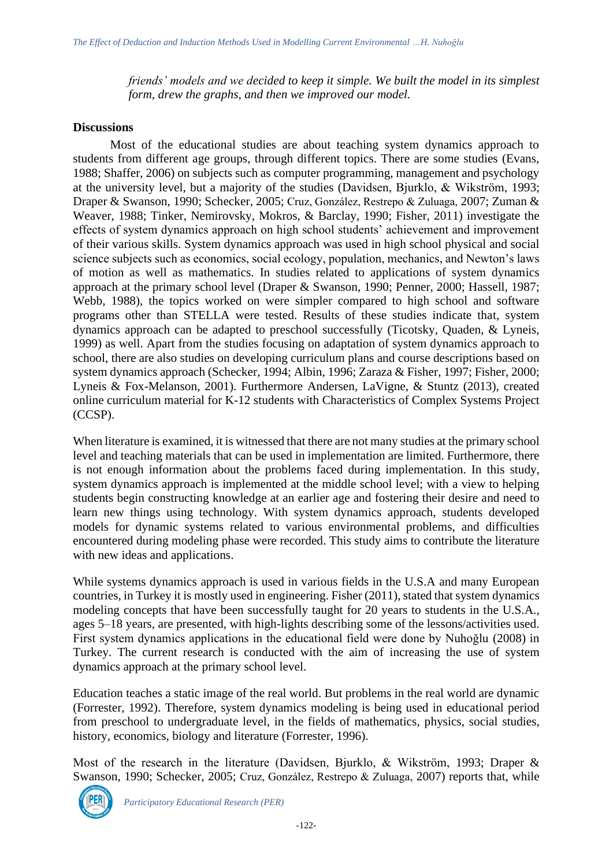*friends' models and we decided to keep it simple. We built the model in its simplest form, drew the graphs, and then we improved our model.* 

### **Discussions**

Most of the educational studies are about teaching system dynamics approach to students from different age groups, through different topics. There are some studies (Evans, 1988; Shaffer, 2006) on subjects such as computer programming, management and psychology at the university level, but a majority of the studies (Davidsen, Bjurklo, & Wikström, 1993; Draper & Swanson, 1990; Schecker, 2005; Cruz, González, Restrepo & Zuluaga, 2007; Zuman & Weaver, 1988; Tinker, Nemirovsky, Mokros, & Barclay, 1990; Fisher, 2011) investigate the effects of system dynamics approach on high school students' achievement and improvement of their various skills. System dynamics approach was used in high school physical and social science subjects such as economics, social ecology, population, mechanics, and Newton's laws of motion as well as mathematics. In studies related to applications of system dynamics approach at the primary school level (Draper & Swanson, 1990; Penner, 2000; Hassell, 1987; Webb, 1988), the topics worked on were simpler compared to high school and software programs other than STELLA were tested. Results of these studies indicate that, system dynamics approach can be adapted to preschool successfully (Ticotsky, Quaden, & Lyneis, 1999) as well. Apart from the studies focusing on adaptation of system dynamics approach to school, there are also studies on developing curriculum plans and course descriptions based on system dynamics approach (Schecker, 1994; Albin, 1996; Zaraza & Fisher, 1997; Fisher, 2000; Lyneis & Fox-Melanson, 2001). Furthermore Andersen, LaVigne, & Stuntz (2013), created online curriculum material for K-12 students with Characteristics of Complex Systems Project (CCSP).

When literature is examined, it is witnessed that there are not many studies at the primary school level and teaching materials that can be used in implementation are limited. Furthermore, there is not enough information about the problems faced during implementation. In this study, system dynamics approach is implemented at the middle school level; with a view to helping students begin constructing knowledge at an earlier age and fostering their desire and need to learn new things using technology. With system dynamics approach, students developed models for dynamic systems related to various environmental problems, and difficulties encountered during modeling phase were recorded. This study aims to contribute the literature with new ideas and applications.

While systems dynamics approach is used in various fields in the U.S.A and many European countries, in Turkey it is mostly used in engineering. Fisher (2011), stated that system dynamics modeling concepts that have been successfully taught for 20 years to students in the U.S.A., ages 5–18 years, are presented, with high-lights describing some of the lessons/activities used. First system dynamics applications in the educational field were done by Nuhoğlu (2008) in Turkey. The current research is conducted with the aim of increasing the use of system dynamics approach at the primary school level.

Education teaches a static image of the real world. But problems in the real world are dynamic (Forrester, 1992). Therefore, system dynamics modeling is being used in educational period from preschool to undergraduate level, in the fields of mathematics, physics, social studies, history, economics, biology and literature (Forrester, 1996).

Most of the research in the literature (Davidsen, Bjurklo, & Wikström, 1993; Draper & Swanson, 1990; Schecker, 2005; Cruz, González, Restrepo & Zuluaga, 2007) reports that, while

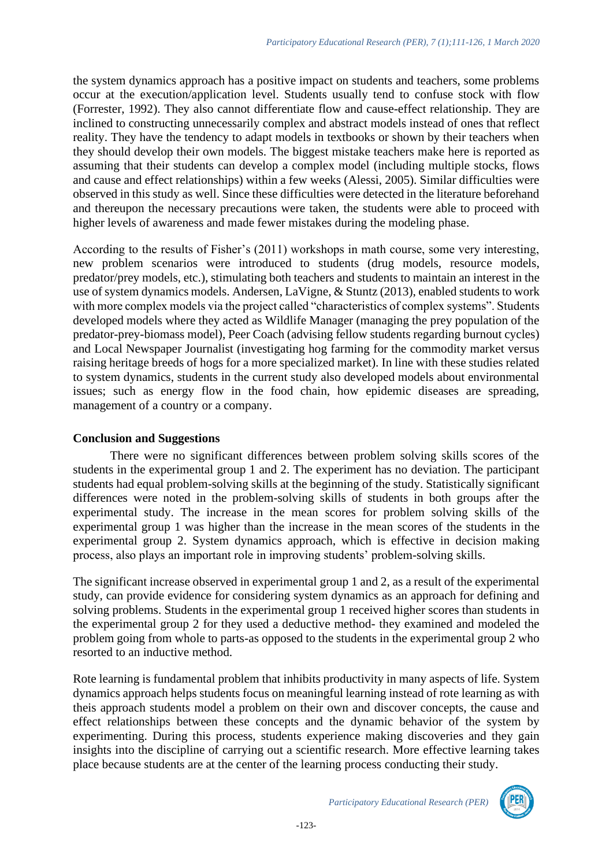the system dynamics approach has a positive impact on students and teachers, some problems occur at the execution/application level. Students usually tend to confuse stock with flow (Forrester, 1992). They also cannot differentiate flow and cause-effect relationship. They are inclined to constructing unnecessarily complex and abstract models instead of ones that reflect reality. They have the tendency to adapt models in textbooks or shown by their teachers when they should develop their own models. The biggest mistake teachers make here is reported as assuming that their students can develop a complex model (including multiple stocks, flows and cause and effect relationships) within a few weeks (Alessi, 2005). Similar difficulties were observed in this study as well. Since these difficulties were detected in the literature beforehand and thereupon the necessary precautions were taken, the students were able to proceed with higher levels of awareness and made fewer mistakes during the modeling phase.

According to the results of Fisher's (2011) workshops in math course, some very interesting, new problem scenarios were introduced to students (drug models, resource models, predator/prey models, etc.), stimulating both teachers and students to maintain an interest in the use of system dynamics models. Andersen, LaVigne, & Stuntz (2013), enabled students to work with more complex models via the project called "characteristics of complex systems". Students developed models where they acted as Wildlife Manager (managing the prey population of the predator-prey-biomass model), Peer Coach (advising fellow students regarding burnout cycles) and Local Newspaper Journalist (investigating hog farming for the commodity market versus raising heritage breeds of hogs for a more specialized market). In line with these studies related to system dynamics, students in the current study also developed models about environmental issues; such as energy flow in the food chain, how epidemic diseases are spreading, management of a country or a company.

### **Conclusion and Suggestions**

There were no significant differences between problem solving skills scores of the students in the experimental group 1 and 2. The experiment has no deviation. The participant students had equal problem-solving skills at the beginning of the study. Statistically significant differences were noted in the problem-solving skills of students in both groups after the experimental study. The increase in the mean scores for problem solving skills of the experimental group 1 was higher than the increase in the mean scores of the students in the experimental group 2. System dynamics approach, which is effective in decision making process, also plays an important role in improving students' problem-solving skills.

The significant increase observed in experimental group 1 and 2, as a result of the experimental study, can provide evidence for considering system dynamics as an approach for defining and solving problems. Students in the experimental group 1 received higher scores than students in the experimental group 2 for they used a deductive method- they examined and modeled the problem going from whole to parts-as opposed to the students in the experimental group 2 who resorted to an inductive method.

Rote learning is fundamental problem that inhibits productivity in many aspects of life. System dynamics approach helps students focus on meaningful learning instead of rote learning as with theis approach students model a problem on their own and discover concepts, the cause and effect relationships between these concepts and the dynamic behavior of the system by experimenting. During this process, students experience making discoveries and they gain insights into the discipline of carrying out a scientific research. More effective learning takes place because students are at the center of the learning process conducting their study.

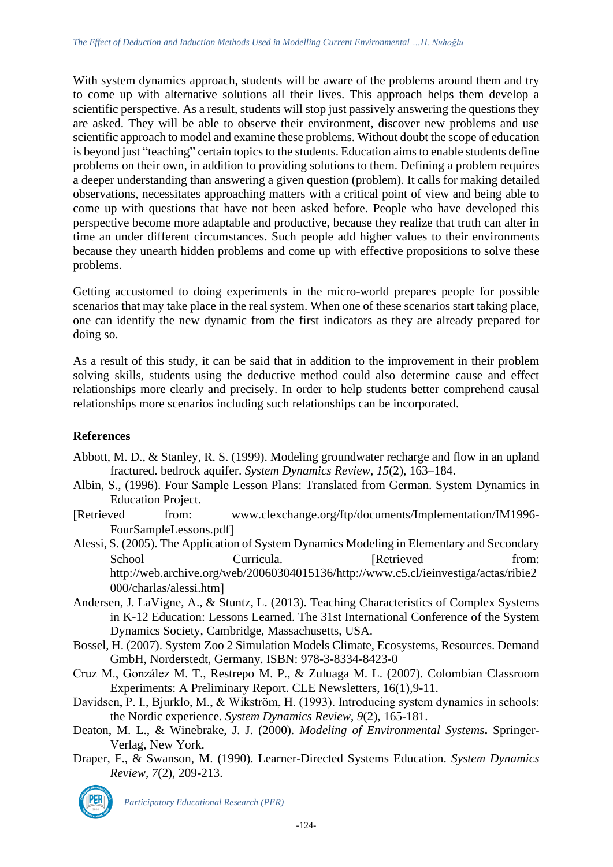With system dynamics approach, students will be aware of the problems around them and try to come up with alternative solutions all their lives. This approach helps them develop a scientific perspective. As a result, students will stop just passively answering the questions they are asked. They will be able to observe their environment, discover new problems and use scientific approach to model and examine these problems. Without doubt the scope of education is beyond just "teaching" certain topics to the students. Education aims to enable students define problems on their own, in addition to providing solutions to them. Defining a problem requires a deeper understanding than answering a given question (problem). It calls for making detailed observations, necessitates approaching matters with a critical point of view and being able to come up with questions that have not been asked before. People who have developed this perspective become more adaptable and productive, because they realize that truth can alter in time an under different circumstances. Such people add higher values to their environments because they unearth hidden problems and come up with effective propositions to solve these problems.

Getting accustomed to doing experiments in the micro-world prepares people for possible scenarios that may take place in the real system. When one of these scenarios start taking place, one can identify the new dynamic from the first indicators as they are already prepared for doing so.

As a result of this study, it can be said that in addition to the improvement in their problem solving skills, students using the deductive method could also determine cause and effect relationships more clearly and precisely. In order to help students better comprehend causal relationships more scenarios including such relationships can be incorporated.

# **References**

- Abbott, M. D., & Stanley, R. S. (1999). Modeling groundwater recharge and flow in an upland fractured. bedrock aquifer. *System Dynamics Review, 15*(2)*,* 163–184.
- Albin, S., (1996). Four Sample Lesson Plans: Translated from German. System Dynamics in Education Project.
- Retrieved from: www.clexchange.org/ftp/documents/Implementation/IM1996- FourSampleLessons.pdf
- Alessi, S. (2005). The Application of System Dynamics Modeling in Elementary and Secondary School Curricula. Retrieved from: [http://web.archive.org/web/20060304015136/http://www.c5.cl/ieinvestiga/actas/ribie2](http://web.archive.org/web/20060304015136/http:/www.c5.cl/ieinvestiga/actas/ribie2000/charlas/alessi.htm) [000/charlas/alessi.htm](http://web.archive.org/web/20060304015136/http:/www.c5.cl/ieinvestiga/actas/ribie2000/charlas/alessi.htm)
- Andersen, J. LaVigne, A., & Stuntz, L. (2013). Teaching Characteristics of Complex Systems in K-12 Education: Lessons Learned. The 31st International Conference of the System Dynamics Society, Cambridge, Massachusetts, USA.
- Bossel, H. (2007). System Zoo 2 Simulation Models Climate, Ecosystems, Resources. Demand GmbH, Norderstedt, Germany. ISBN: 978-3-8334-8423-0
- Cruz M., González M. T., Restrepo M. P., & Zuluaga M. L. (2007). Colombian Classroom Experiments: A Preliminary Report. CLE Newsletters, 16(1),9-11.
- Davidsen, P. I., Bjurklo, M., & Wikström, H. (1993). Introducing system dynamics in schools: the Nordic experience. *System Dynamics Review*, *9*(2), 165-181.
- Deaton, M. L., & Winebrake, J. J. (2000). *Modeling of Environmental Systems***.** Springer-Verlag, New York.
- Draper, F., & Swanson, M. (1990). Learner-Directed Systems Education. *System Dynamics Review, 7*(2), 209-213.

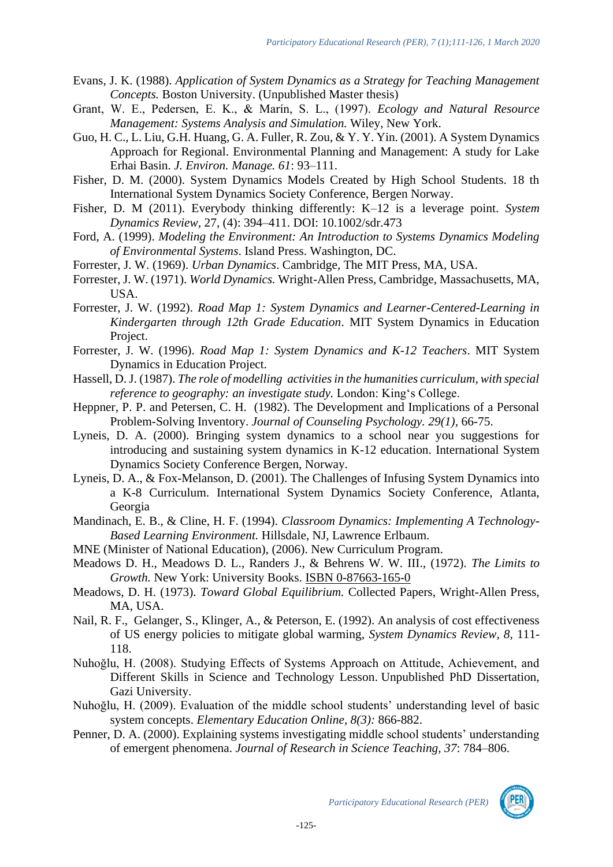- Evans, J. K. (1988). *Application of System Dynamics as a Strategy for Teaching Management Concepts.* Boston University. (Unpublished Master thesis)
- Grant, W. E., Pedersen, E. K., & Marín, S. L., (1997). *Ecology and Natural Resource Management: Systems Analysis and Simulation.* Wiley, New York.
- Guo, H. C., L. Liu, G.H. Huang, G. A. Fuller, R. Zou, & Y. Y. Yin. (2001). A System Dynamics Approach for Regional. Environmental Planning and Management: A study for Lake Erhai Basin. *J. Environ. Manage. 61*: 93–111.
- Fisher, D. M. (2000). System Dynamics Models Created by High School Students. 18 th International System Dynamics Society Conference, Bergen Norway.
- Fisher, D. M (2011). Everybody thinking differently: K–12 is a leverage point. *System Dynamics Review,* 27, (4): 394–411. DOI: 10.1002/sdr.473
- Ford, A. (1999). *Modeling the Environment: An Introduction to Systems Dynamics Modeling of Environmental Systems*. Island Press. Washington, DC.
- [Forrester, J. W. \(1969\)](http://www.sciencedirect.com/science?_ob=ArticleURL&_udi=B6VFR-4F53N41-3&_coverDate=12%2F31%2F2005&_alid=312623292&_rdoc=1&_fmt=&_orig=search&_qd=1&_cdi=6017&_sort=d&view=c&_acct=C000038638&_version=1&_urlVersion=0&_userid=691231&md5=9f687bd68537f812a35e2c6619eee3b4#bbib12#bbib12). *Urban Dynamics*. Cambridge, The MIT Press, MA, USA.
- [Forrester, J. W. \(1971\)](http://www.sciencedirect.com/science?_ob=ArticleURL&_udi=B6VFR-4F53N41-3&_coverDate=12%2F31%2F2005&_alid=312623292&_rdoc=1&_fmt=&_orig=search&_qd=1&_cdi=6017&_sort=d&view=c&_acct=C000038638&_version=1&_urlVersion=0&_userid=691231&md5=9f687bd68537f812a35e2c6619eee3b4#bbib13#bbib13). *World Dynamics.* Wright-Allen Press, Cambridge, Massachusetts, MA, USA.
- Forrester, J. W. (1992). *Road Map 1: System Dynamics and Learner-Centered-Learning in Kindergarten through 12th Grade Education*. MIT System Dynamics in Education Project.
- Forrester, J. W. (1996). *Road Map 1: System Dynamics and K-12 Teachers*. MIT System Dynamics in Education Project.
- Hassell, D. J. (1987). *The role of modelling activities in the humanities curriculum, with special reference to geography: an investigate study.* London: King's College.
- Heppner, P. P. and Petersen, C. H. (1982). The Development and Implications of a Personal Problem-Solving Inventory. *Journal of Counseling Psychology. 29(1),* 66-75.
- Lyneis, D. A. (2000). Bringing system dynamics to a school near you suggestions for introducing and sustaining system dynamics in K-12 education. International System Dynamics Society Conference Bergen, Norway.
- Lyneis, D. A., & Fox-Melanson, D. (2001). The Challenges of Infusing System Dynamics into a K-8 Curriculum. International System Dynamics Society Conference, Atlanta, Georgia
- Mandinach, E. B., & Cline, H. F. (1994). *Classroom Dynamics: Implementing A Technology-Based Learning Environment.* Hillsdale, NJ, Lawrence Erlbaum.
- MNE (Minister of National Education), (2006). New Curriculum Program.
- Meadows D. H., Meadows D. L., Randers J., & Behrens W. W. III., (1972). *The Limits to Growth.* New York: University Books. [ISBN 0-87663-165-0](http://en.wikipedia.org/w/index.php?title=Special:Booksources&isbn=0876631650)
- [Meadows, D. H. \(1973\)](http://www.sciencedirect.com/science?_ob=ArticleURL&_udi=B6VFR-4F53N41-3&_coverDate=12%2F31%2F2005&_alid=312623292&_rdoc=1&_fmt=&_orig=search&_qd=1&_cdi=6017&_sort=d&view=c&_acct=C000038638&_version=1&_urlVersion=0&_userid=691231&md5=9f687bd68537f812a35e2c6619eee3b4#bbib20#bbib20). *Toward Global Equilibrium.* Collected Papers, Wright-Allen Press, MA, USA.
- [Nail, R. F.,](http://www.sciencedirect.com/science?_ob=ArticleURL&_udi=B6VFR-4F53N41-3&_coverDate=12%2F31%2F2005&_alid=312623292&_rdoc=1&_fmt=&_orig=search&_qd=1&_cdi=6017&_sort=d&view=c&_acct=C000038638&_version=1&_urlVersion=0&_userid=691231&md5=9f687bd68537f812a35e2c6619eee3b4#bbib24#bbib24) Gelanger, S., Klinger, A., & Peterson, E. (1992). An analysis of cost effectiveness of US energy policies to mitigate global warming, *System Dynamics Review, 8,* 111- 118.
- Nuhoğlu, H. (2008). Studying Effects of Systems Approach on Attitude, Achievement, and Different Skills in Science and Technology Lesson. Unpublished PhD Dissertation, Gazi University.
- Nuhoğlu, H. (2009). Evaluation of the middle school students' understanding level of basic system concepts. *Elementary Education Online, 8(3):* 866-882.
- Penner, D. A. (2000). Explaining systems investigating middle school students' understanding of emergent phenomena. *Journal of Research in Science Teaching, 37*: 784–806.